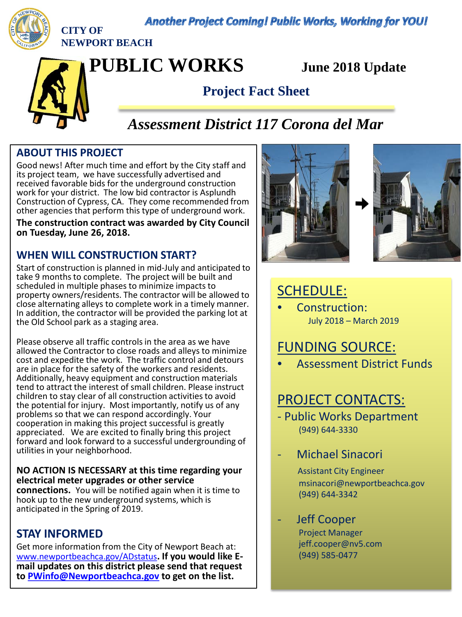**Another Project Coming! Public Works, Working for YOU!** 



**CITY OF NEWPORT BEACH**

**PUBLIC WORKS June 2018 Update**

## **Project Fact Sheet**

# *Assessment District 117 Corona del Mar*

### **ABOUT THIS PROJECT**

Good news! After much time and effort by the City staff and its project team, we have successfully advertised and received favorable bids for the underground construction work for your district. The low bid contractor is Asplundh Construction of Cypress, CA. They come recommended from other agencies that perform this type of underground work.

**The construction contract was awarded by City Council on Tuesday, June 26, 2018.**

### **WHEN WILL CONSTRUCTION START?**

Start of construction is planned in mid-July and anticipated to take 9 months to complete. The project will be built and scheduled in multiple phases to minimize impacts to property owners/residents. The contractor will be allowed to close alternating alleys to complete work in a timely manner. In addition, the contractor will be provided the parking lot at the Old School park as a staging area.

Please observe all traffic controls in the area as we have allowed the Contractor to close roads and alleys to minimize cost and expedite the work. The traffic control and detours are in place for the safety of the workers and residents. Additionally, heavy equipment and construction materials tend to attract the interest of small children. Please instruct children to stay clear of all construction activities to avoid the potential for injury. Most importantly, notify us of any problems so that we can respond accordingly. Your cooperation in making this project successful is greatly appreciated. We are excited to finally bring this project forward and look forward to a successful undergrounding of utilities in your neighborhood.

### **NO ACTION IS NECESSARY at this time regarding your electrical meter upgrades or other service**

**connections.** You will be notified again when it is time to hook up to the new underground systems, which is anticipated in the Spring of 2019.

### **STAY INFORMED**

Get more information from the City of Newport Beach at:<br>www.newportbeachca.gov/ADstatus. If you would like Email updates on this district please send that request **to [PWinfo@Newportbeachca.gov](mailto:PWinfo@Newportbeachca.gov) to get on the list.** 





# SCHEDULE:

• Construction: July 2018 – March 2019

# FUNDING SOURCE:

• Assessment District Funds

# PROJECT CONTACTS:

- Public Works Department (949) 644-3330
- Michael Sinacori
	- Assistant City Engineer msinacori@newportbeachca.gov (949) 644-3342
	- Jeff Cooper Project Manager jeff.cooper@nv5.com (949) 585-0477